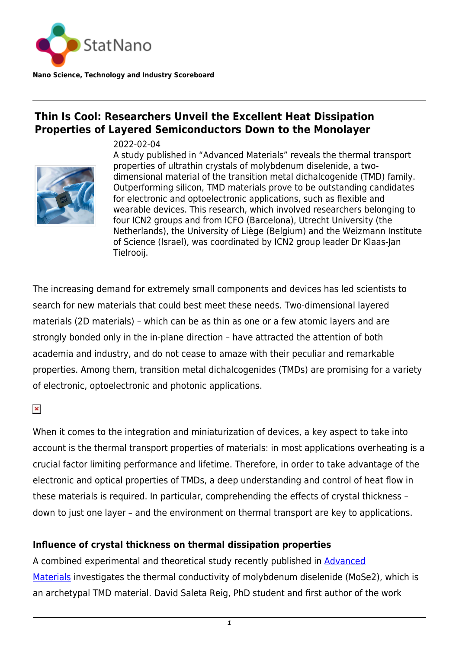

## **Thin Is Cool: Researchers Unveil the Excellent Heat Dissipation**

**Properties of Layered Semiconductors Down to the Monolayer**

2022-02-04



A study published in "Advanced Materials" reveals the thermal transport properties of ultrathin crystals of molybdenum diselenide, a twodimensional material of the transition metal dichalcogenide (TMD) family. Outperforming silicon, TMD materials prove to be outstanding candidates for electronic and optoelectronic applications, such as flexible and wearable devices. This research, which involved researchers belonging to four ICN2 groups and from ICFO (Barcelona), Utrecht University (the Netherlands), the University of Liège (Belgium) and the Weizmann Institute of Science (Israel), was coordinated by ICN2 group leader Dr Klaas-Jan Tielrooij.

The increasing demand for extremely small components and devices has led scientists to search for new materials that could best meet these needs. Two-dimensional layered materials (2D materials) – which can be as thin as one or a few atomic layers and are strongly bonded only in the in-plane direction – have attracted the attention of both academia and industry, and do not cease to amaze with their peculiar and remarkable properties. Among them, transition metal dichalcogenides (TMDs) are promising for a variety of electronic, optoelectronic and photonic applications.

 $\pmb{\times}$ 

When it comes to the integration and miniaturization of devices, a key aspect to take into account is the thermal transport properties of materials: in most applications overheating is a crucial factor limiting performance and lifetime. Therefore, in order to take advantage of the electronic and optical properties of TMDs, a deep understanding and control of heat flow in these materials is required. In particular, comprehending the effects of crystal thickness – down to just one layer – and the environment on thermal transport are key to applications.

## **Influence of crystal thickness on thermal dissipation properties**

A combined experimental and theoretical study recently published in [Advanced](https://onlinelibrary.wiley.com/doi/10.1002/adma.202108352) [Materials](https://onlinelibrary.wiley.com/doi/10.1002/adma.202108352) investigates the thermal conductivity of molybdenum diselenide (MoSe2), which is an archetypal TMD material. David Saleta Reig, PhD student and first author of the work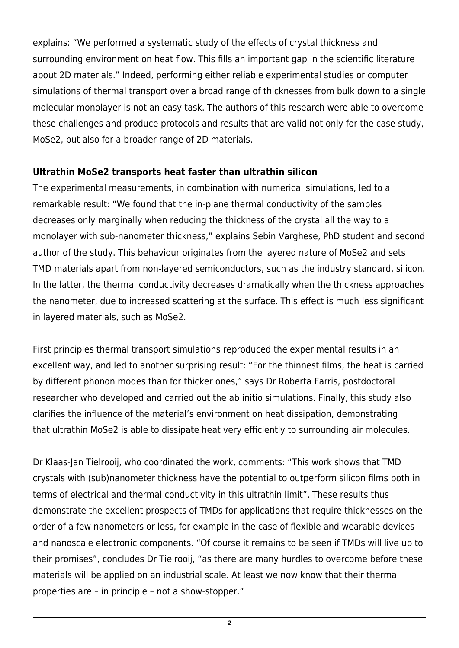explains: "We performed a systematic study of the effects of crystal thickness and surrounding environment on heat flow. This fills an important gap in the scientific literature about 2D materials." Indeed, performing either reliable experimental studies or computer simulations of thermal transport over a broad range of thicknesses from bulk down to a single molecular monolayer is not an easy task. The authors of this research were able to overcome these challenges and produce protocols and results that are valid not only for the case study, MoSe2, but also for a broader range of 2D materials.

## **Ultrathin MoSe2 transports heat faster than ultrathin silicon**

The experimental measurements, in combination with numerical simulations, led to a remarkable result: "We found that the in-plane thermal conductivity of the samples decreases only marginally when reducing the thickness of the crystal all the way to a monolayer with sub-nanometer thickness," explains Sebin Varghese, PhD student and second author of the study. This behaviour originates from the layered nature of MoSe2 and sets TMD materials apart from non-layered semiconductors, such as the industry standard, silicon. In the latter, the thermal conductivity decreases dramatically when the thickness approaches the nanometer, due to increased scattering at the surface. This effect is much less significant in layered materials, such as MoSe2.

First principles thermal transport simulations reproduced the experimental results in an excellent way, and led to another surprising result: "For the thinnest films, the heat is carried by different phonon modes than for thicker ones," says Dr Roberta Farris, postdoctoral researcher who developed and carried out the ab initio simulations. Finally, this study also clarifies the influence of the material's environment on heat dissipation, demonstrating that ultrathin MoSe2 is able to dissipate heat very efficiently to surrounding air molecules.

Dr Klaas-Jan Tielrooij, who coordinated the work, comments: "This work shows that TMD crystals with (sub)nanometer thickness have the potential to outperform silicon films both in terms of electrical and thermal conductivity in this ultrathin limit". These results thus demonstrate the excellent prospects of TMDs for applications that require thicknesses on the order of a few nanometers or less, for example in the case of flexible and wearable devices and nanoscale electronic components. "Of course it remains to be seen if TMDs will live up to their promises", concludes Dr Tielrooij, "as there are many hurdles to overcome before these materials will be applied on an industrial scale. At least we now know that their thermal properties are – in principle – not a show-stopper."